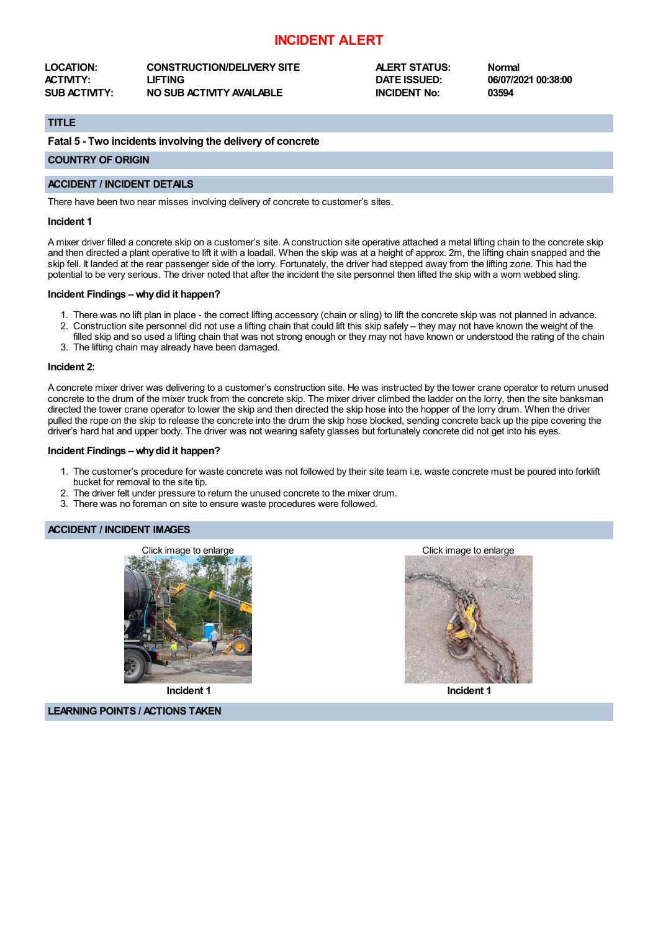# **INCIDENT ALERT**

**LOCATION: CONSTRUCTION/DELIVERY SITE ALERT STATUS: Normal ACTIVITY: LIFTING DATE ISSUED: 06/07/2021 00:38:00 SUB ACTIVITY: NO SUB ACTIVITY AVAILABLE INCIDENT No: 03594**

# **TITLE**

**Fatal 5 - Two incidents involving the delivery of concrete**

## **COUNTRY OF ORIGIN**

### **ACCIDENT / INCIDENT DETAILS**

There have been two near misses involving delivery of concrete to customer's sites.

#### **Incident 1**

A mixer driver filled a concrete skip on a customer's site. A construction site operative attached a metal lifting chain to the concrete skip and then directed a plant operative to lift it with a loadall. When the skip was at a height of approx. 2m, the lifting chain snapped and the skip fell. It landed at the rear passenger side of the lorry. Fortunately, the driver had stepped away from the lifting zone. This had the potential to be very serious. The driver noted that after the incident the site personnel then lifted the skip with a worn webbed sling.

#### **Incident Findings –whydid it happen?**

- 1. There was no lift plan in place the correct lifting accessory (chain or sling) to lift the concrete skip was not planned in advance.
- 2. Construction site personnel did not use a lifting chain that could lift this skip safely they may not have known the weight of the filled skip and so used a lifting chain that was not strong enough or they may not have known or understood the rating of the chain
- 3. The lifting chain may already have been damaged.

#### **Incident 2:**

A concrete mixer driver was delivering to a customer's construction site. He was instructed by the tower crane operator to return unused concrete to the drum of the mixer truck from the concrete skip. The mixer driver climbed the ladder on the lorry, then the site banksman directed the tower crane operator to lower the skip and then directed the skip hose into the hopper of the lorry drum. When the driver pulled the rope on the skip to release the concrete into the drum the skip hose blocked, sending concrete back up the pipe covering the driver's hard hat and upper body. The driver was not wearing safety glasses but fortunately concrete did not get into his eyes.

#### **Incident Findings –whydid it happen?**

- 1. The customer's procedure for waste concrete was not followed by their site team i.e. waste concrete must be poured into forklift bucket for removal to the site tip.
- 2. The driver felt under pressure to return the unused concrete to the mixer drum.
- 3. There was no foreman on site to ensure waste procedures were followed.

## **ACCIDENT / INCIDENT IMAGES**



**Incident 1**

**LEARNING POINTS / ACTIONS TAKEN**





**Incident 1**